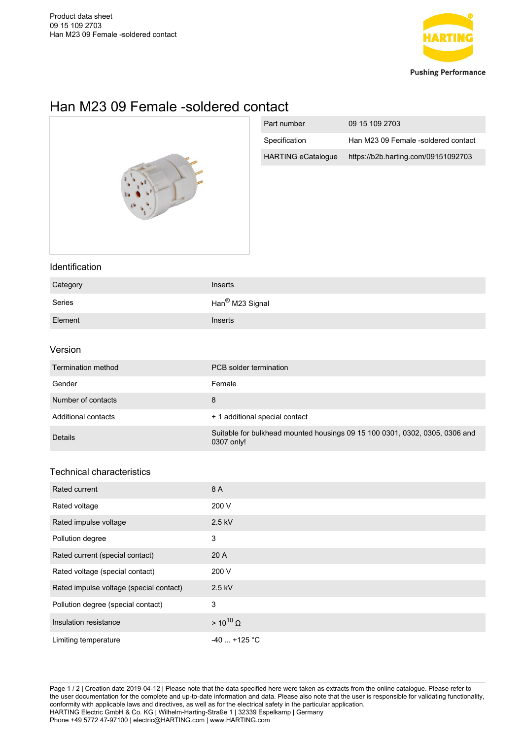

# Han M23 09 Female -soldered contact



| Part number               | 09 15 109 2703                      |
|---------------------------|-------------------------------------|
| Specification             | Han M23 09 Female -soldered contact |
| <b>HARTING eCatalogue</b> | https://b2b.harting.com/09151092703 |

### Identification

| Category | Inserts                     |
|----------|-----------------------------|
| Series   | Han <sup>®</sup> M23 Signal |
| Element  | <b>Inserts</b>              |

#### Version

| Termination method  | PCB solder termination                                                                    |
|---------------------|-------------------------------------------------------------------------------------------|
| Gender              | Female                                                                                    |
| Number of contacts  | 8                                                                                         |
| Additional contacts | + 1 additional special contact                                                            |
| Details             | Suitable for bulkhead mounted housings 09 15 100 0301, 0302, 0305, 0306 and<br>0307 only! |

## Technical characteristics

| Rated current                           | 8 A                |
|-----------------------------------------|--------------------|
| Rated voltage                           | 200 V              |
| Rated impulse voltage                   | 2.5 kV             |
| Pollution degree                        | 3                  |
| Rated current (special contact)         | 20A                |
| Rated voltage (special contact)         | 200 V              |
| Rated impulse voltage (special contact) | 2.5 kV             |
| Pollution degree (special contact)      | 3                  |
| Insulation resistance                   | $> 10^{10} \Omega$ |
| Limiting temperature                    | $-40$ +125 °C      |

Page 1 / 2 | Creation date 2019-04-12 | Please note that the data specified here were taken as extracts from the online catalogue. Please refer to the user documentation for the complete and up-to-date information and data. Please also note that the user is responsible for validating functionality, conformity with applicable laws and directives, as well as for the electrical safety in the particular application. HARTING Electric GmbH & Co. KG | Wilhelm-Harting-Straße 1 | 32339 Espelkamp | Germany Phone +49 5772 47-97100 | electric@HARTING.com | www.HARTING.com